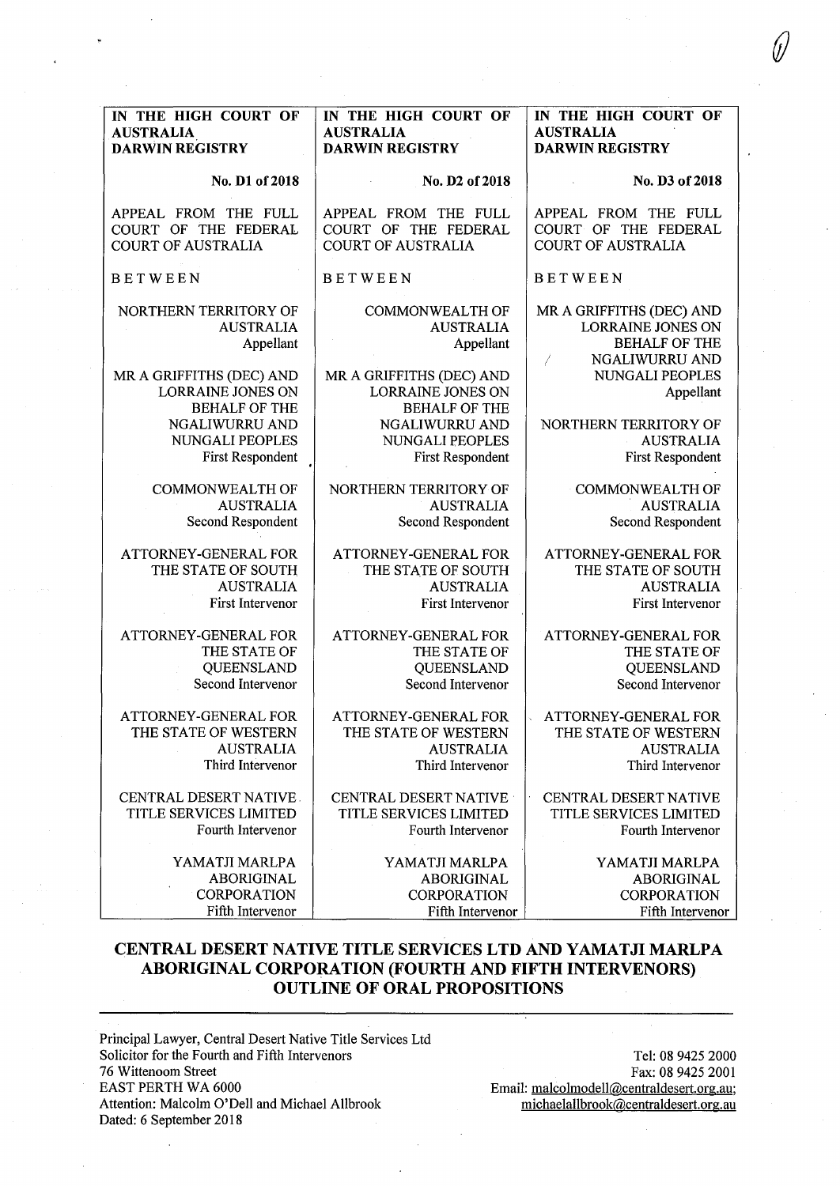| IN THE HIGH COURT OF                                                                        | IN THE HIGH COURT OF                                                                        | IN THE HIGH COURT OF                                                                                |
|---------------------------------------------------------------------------------------------|---------------------------------------------------------------------------------------------|-----------------------------------------------------------------------------------------------------|
| <b>AUSTRALIA</b>                                                                            | <b>AUSTRALIA</b>                                                                            | <b>AUSTRALIA</b>                                                                                    |
| <b>DARWIN REGISTRY</b>                                                                      | <b>DARWIN REGISTRY</b>                                                                      | <b>DARWIN REGISTRY</b>                                                                              |
| No. D1 of 2018                                                                              | No. D2 of 2018                                                                              | No. D3 of 2018                                                                                      |
| APPEAL FROM THE FULL                                                                        | APPEAL FROM THE FULL                                                                        | APPEAL FROM THE FULL                                                                                |
| COURT OF THE FEDERAL                                                                        | COURT OF THE FEDERAL                                                                        | COURT OF THE FEDERAL                                                                                |
| <b>COURT OF AUSTRALIA</b>                                                                   | <b>COURT OF AUSTRALIA</b>                                                                   | <b>COURT OF AUSTRALIA</b>                                                                           |
| <b>BETWEEN</b>                                                                              | <b>BETWEEN</b>                                                                              | <b>BETWEEN</b>                                                                                      |
| NORTHERN TERRITORY OF<br><b>AUSTRALIA</b><br>Appellant                                      | COMMONWEALTH OF<br><b>AUSTRALIA</b><br>Appellant                                            | MR A GRIFFITHS (DEC) AND<br><b>LORRAINE JONES ON</b><br><b>BEHALF OF THE</b><br>NGALIWURRU AND<br>ľ |
| MR A GRIFFITHS (DEC) AND<br><b>LORRAINE JONES ON</b><br><b>BEHALF OF THE</b>                | MR A GRIFFITHS (DEC) AND<br>LORRAINE JONES ON<br><b>BEHALF OF THE</b>                       | NUNGALI PEOPLES<br>Appellant                                                                        |
| NGALIWURRU AND                                                                              | <b>NGALIWURRU AND</b>                                                                       | NORTHERN TERRITORY OF                                                                               |
| NUNGALI PEOPLES                                                                             | <b>NUNGALI PEOPLES</b>                                                                      | <b>AUSTRALIA</b>                                                                                    |
| First Respondent                                                                            | <b>First Respondent</b>                                                                     | <b>First Respondent</b>                                                                             |
| <b>COMMONWEALTH OF</b>                                                                      | NORTHERN TERRITORY OF                                                                       | <b>COMMONWEALTH OF</b>                                                                              |
| <b>AUSTRALIA</b>                                                                            | <b>AUSTRALIA</b>                                                                            | <b>AUSTRALIA</b>                                                                                    |
| Second Respondent                                                                           | Second Respondent                                                                           | Second Respondent                                                                                   |
| ATTORNEY-GENERAL FOR                                                                        | ATTORNEY-GENERAL FOR                                                                        | ATTORNEY-GENERAL FOR                                                                                |
| THE STATE OF SOUTH                                                                          | THE STATE OF SOUTH                                                                          | THE STATE OF SOUTH                                                                                  |
| <b>AUSTRALIA</b>                                                                            | <b>AUSTRALIA</b>                                                                            | <b>AUSTRALIA</b>                                                                                    |
| First Intervenor                                                                            | First Intervenor                                                                            | First Intervenor                                                                                    |
| ATTORNEY-GENERAL FOR                                                                        | ATTORNEY-GENERAL FOR                                                                        | ATTORNEY-GENERAL FOR                                                                                |
| THE STATE OF                                                                                | THE STATE OF                                                                                | THE STATE OF                                                                                        |
| QUEENSLAND                                                                                  | QUEENSLAND                                                                                  | QUEENSLAND                                                                                          |
| Second Intervenor                                                                           | Second Intervenor                                                                           | Second Intervenor                                                                                   |
| <b>ATTORNEY-GENERAL FOR</b><br>THE STATE OF WESTERN<br><b>AUSTRALIA</b><br>Third Intervenor | <b>ATTORNEY-GENERAL FOR</b><br>THE STATE OF WESTERN<br><b>AUSTRALIA</b><br>Third Intervenor | <b>ATTORNEY-GENERAL FOR</b><br>Ċ.<br>THE STATE OF WESTERN<br><b>AUSTRALIA</b><br>Third Intervenor   |
| <b>CENTRAL DESERT NATIVE</b>                                                                | <b>CENTRAL DESERT NATIVE</b>                                                                | CENTRAL DESERT NATIVE                                                                               |
| TITLE SERVICES LIMITED                                                                      | <b>TITLE SERVICES LIMITED</b>                                                               | TITLE SERVICES LIMITED                                                                              |
| Fourth Intervenor                                                                           | Fourth Intervenor                                                                           | Fourth Intervenor                                                                                   |
| YAMATJI MARLPA                                                                              | YAMATJI MARLPA                                                                              | YAMATJI MARLPA                                                                                      |
| <b>ABORIGINAL</b>                                                                           | <b>ABORIGINAL</b>                                                                           | <b>ABORIGINAL</b>                                                                                   |
| <b>CORPORATION</b>                                                                          | <b>CORPORATION</b>                                                                          | <b>CORPORATION</b>                                                                                  |
| Fifth Intervenor                                                                            | Fifth Intervenor                                                                            | Fifth Intervenor                                                                                    |

# **CENTRAL DESERT NATIVE TITLE SERVICES LTD AND YAMATJI MARLPA ABORIGINAL CORPORATION (FOURTH AND FIFTH INTERVENORS) OUTLINE OF ORAL PROPOSITIONS**

Principal Lawyer, Central Desert Native Title Services Ltd Solicitor for the Fourth and Fifth Intervenors 76 Wittenoom Street EAST PERTH WA 6000 Attention: Malcolm O'Dell and Michael Allbrook Dated: 6 September 2018

Tel: 08 9425 2000 Fax: 08 9425 2001 Email: malcolmodell@centraldesert.org.au; michaelallbrook@centraldesert.org.au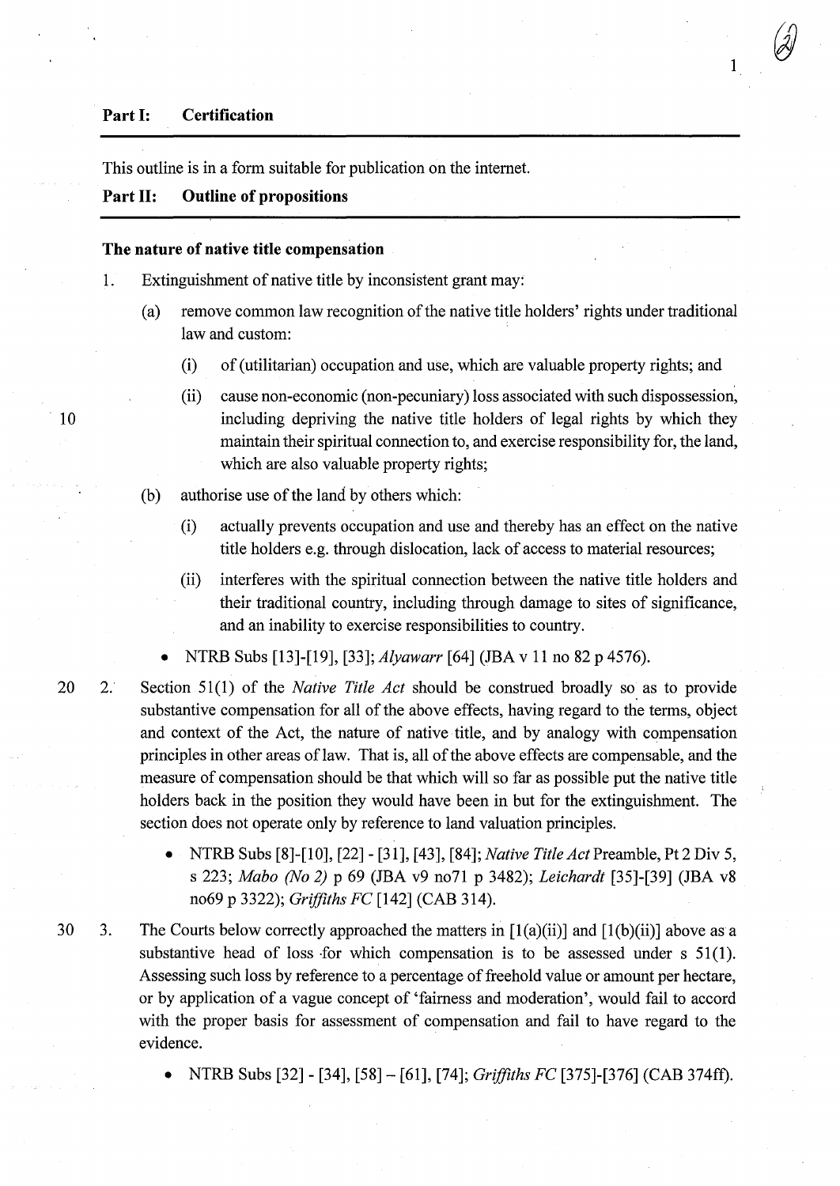### **Part 1: Certification**

This outline is in a form suitable for publication on the intemet.

## **Part 11: Outline of propositions**

#### **The nature of native title compensation**

- 1. Extinguishment of native title by inconsistent grant may:
	- (a) remove common law recognition of the native title holders' rights under traditional law and custom:
		- (i) of (utilitarian) occupation and use, which are valuable property rights; and

1

- (ii) cause non-economic (non-pecuniary) loss associated with such dispossession, including depriving the native title holders of legal rights by which they maintain their spiritual connection to, and exercise responsibility for, the land, which are also valuable property rights;
- (b) authorise use of the land by others which:
	- (i) actually prevents occupation and use and thereby has an effect on the native title holders e.g. through dislocation, lack of access to material resources;
	- (ii) interferes with the spiritual connection between the native title holders and their traditional country, including through damage to sites of significance, and an inability to exercise responsibilities to country.
	- NTRB Subs [13]-[19], [33]; *Alyawarr* [64] (JBA v 11 no 82 p 4576).
- 20 2. Section 51(1) of the *Native Title Act* should be construed broadly so as to provide substantive compensation for all of the above effects, having regard to the terms, object and context of the Act, the nature of native title, and by analogy with compensation principles in other areas of law. That is, all of the above effects are compensable, and the measure of compensation should be that which will so far as possible put the native title holders back in the position they would have been in but for the extinguishment. The section does not operate only by reference to land valuation principles.
	- NTRB Subs [8]-[10], [22] [31], [43], [84]; *Native Title Act* Preamble, Pt 2 Div 5, s 223; *Mabo (No 2)* p 69 (JBA v9 no71 p 3482); *Leichardt* [35]-[39] (JBA v8 no69 p 3322); *Griffiths FC* [142] (CAB 314).
- 30 3. The Courts below correctly approached the matters in  $[1(a)(ii)]$  and  $[1(b)(ii)]$  above as a substantive head of loss for which compensation is to be assessed under  $s$  51(1). Assessing such loss by reference to a percentage of freehold value or amount per hectare, or by application of a vague concept of 'fairness and moderation', would fail to accord with the proper basis for assessment of compensation and fail to have regard to the evidence.
	- NTRB Subs [32] [34], [58]- [61], [74]; *Griffiths FC* [375]-[376] (CAB 374ft).

10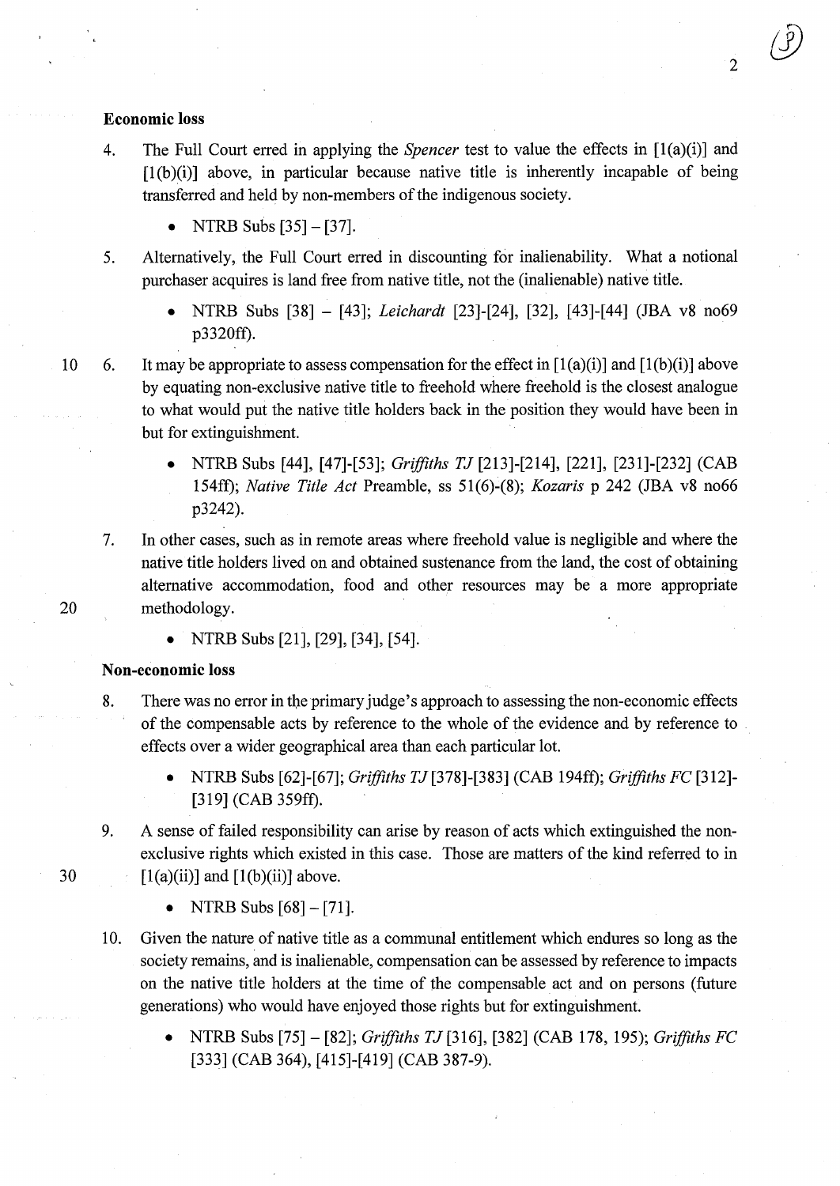### **Economic loss**

- 4. The Full Court erred in applying the *Spencer* test to value the effects in [1(a)(i)] and  $[1(b)(i)]$  above, in particular because native title is inherently incapable of being transferred and held by non-members of the indigenous society.
	- NTRB Subs [35]- [37].
- 5. Alternatively, the Full Court erred in discounting for inalienability. What a notional purchaser acquires is land free from native title, not the (inalienable) native title.
	- NTRB Subs [38] [43]; *Leichardt* [23]-[24], [32], [43]-[44] (JBA v8 no69 p3320ff).
- 

10 6. It may be appropriate to assess compensation for the effect in  $[1(a)(i)]$  and  $[1(b)(i)]$  above by equating non-exclusive native title to freehold where freehold is the closest analogue to what would put the native title holders back in the position they would have been in but for extinguishment.

- NTRB Subs [44], [47]-[53]; *Griffiths TJ* [213]-[214], [221], [231]-[232] (CAB 154ft); *Native Title Act* Preamble, ss 51(6)-(8); *Kozaris* p 242 (JBA v8 no66 p3242).
- 7. In other cases, such as in remote areas where freehold value is negligible and where the native title holders lived on and obtained sustenance from the land, the cost of obtaining alternative accommodation, food and other resources may be a more appropriate 20 methodology.
	- NTRB Subs [21], [29], [34], [54].

## **Non-economic loss**

- 8. There was no error in the primary judge's approach to assessing the non-economic effects of the compensable acts by reference to the whole of the evidence and by reference to effects over a wider geographical area than each particular lot.
	- NTRB Subs [62]-[67]; *Griffiths* TJ[378]-[383] (CAB 194ft); *Griffiths FC* [312]- [319] (CAB 359ff).
- 9. A sense of failed responsibility can arise by reason of acts which extinguished the nonexclusive rights which existed in this case. Those are matters of the kind referred to in 30  $[1(a)(ii)]$  and  $[1(b)(ii)]$  above.
	- NTRB Subs  $[68] [71]$ .
	- 10. Given the nature of native title as a communal entitlement which endures so long as the society remains, and is inalienable, compensation can be assessed by reference to impacts on the native title holders at the time of the compensable act and on persons (future generations) who would have enjoyed those rights but for extinguishment.
		- NTRB Subs [75]- [82]; *Griffiths* TJ[316], [382] (CAB 178, 195); *Griffiths FC*  [333] (CAB 364), [415]-[419] (CAB 387-9).